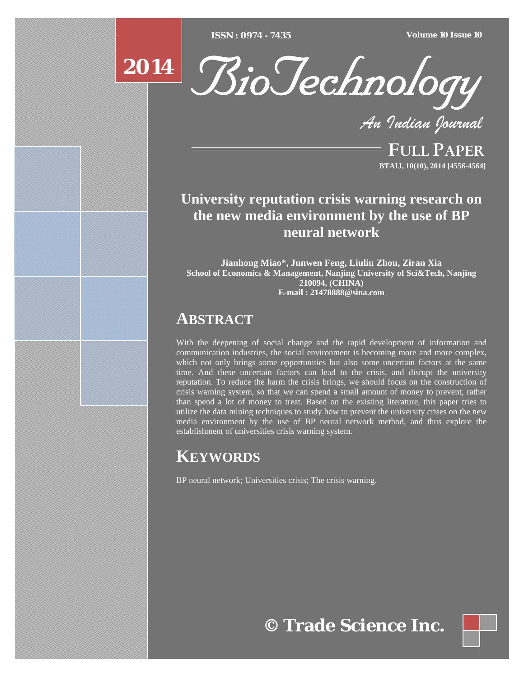[Type text] [Type text] [Type text] *ISSN : 0974 - 7435 Volume 10 Issue 10*



*An Indian Journal*

FULL PAPER **BTAIJ, 10(10), 2014 [4556-4564]**

# **University reputation crisis warning research on the new media environment by the use of BP neural network**

**Jianhong Miao\*, Junwen Feng, Liuliu Zhou, Ziran Xia School of Economics & Management, Nanjing University of Sci&Tech, Nanjing 210094, (CHINA) E-mail : 21478888@sina.com**

## **ABSTRACT**

With the deepening of social change and the rapid development of information and communication industries, the social environment is becoming more and more complex, which not only brings some opportunities but also some uncertain factors at the same time. And these uncertain factors can lead to the crisis, and disrupt the university reputation. To reduce the harm the crisis brings, we should focus on the construction of crisis warning system, so that we can spend a small amount of money to prevent, rather than spend a lot of money to treat. Based on the existing literature, this paper tries to utilize the data mining techniques to study how to prevent the university crises on the new media environment by the use of BP neural network method, and thus explore the establishment of universities crisis warning system.

# **KEYWORDS**

BP neural network; Universities crisis; The crisis warning.

**© Trade Science Inc.**

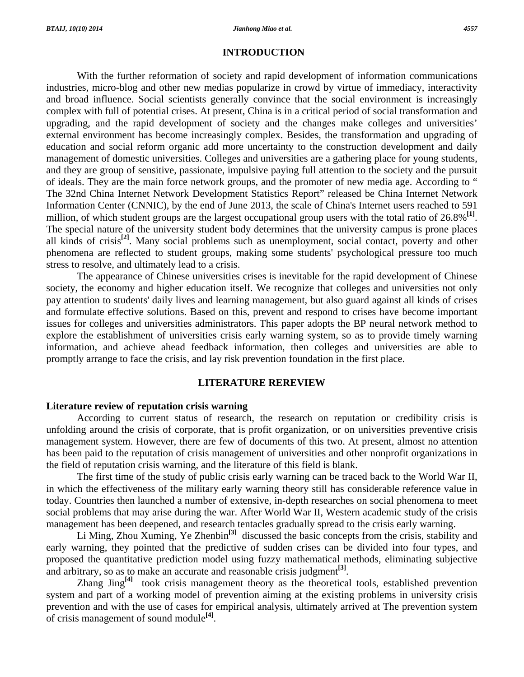#### **INTRODUCTION**

 With the further reformation of society and rapid development of information communications industries, micro-blog and other new medias popularize in crowd by virtue of immediacy, interactivity and broad influence. Social scientists generally convince that the social environment is increasingly complex with full of potential crises. At present, China is in a critical period of social transformation and upgrading, and the rapid development of society and the changes make colleges and universities' external environment has become increasingly complex. Besides, the transformation and upgrading of education and social reform organic add more uncertainty to the construction development and daily management of domestic universities. Colleges and universities are a gathering place for young students, and they are group of sensitive, passionate, impulsive paying full attention to the society and the pursuit of ideals. They are the main force network groups, and the promoter of new media age. According to " The 32nd China Internet Network Development Statistics Report" released be China Internet Network Information Center (CNNIC), by the end of June 2013, the scale of China's Internet users reached to 591 million, of which student groups are the largest occupational group users with the total ratio of 26.8%**[1]**. The special nature of the university student body determines that the university campus is prone places all kinds of crisis**[2]**. Many social problems such as unemployment, social contact, poverty and other phenomena are reflected to student groups, making some students' psychological pressure too much stress to resolve, and ultimately lead to a crisis.

 The appearance of Chinese universities crises is inevitable for the rapid development of Chinese society, the economy and higher education itself. We recognize that colleges and universities not only pay attention to students' daily lives and learning management, but also guard against all kinds of crises and formulate effective solutions. Based on this, prevent and respond to crises have become important issues for colleges and universities administrators. This paper adopts the BP neural network method to explore the establishment of universities crisis early warning system, so as to provide timely warning information, and achieve ahead feedback information, then colleges and universities are able to promptly arrange to face the crisis, and lay risk prevention foundation in the first place.

#### **LITERATURE REREVIEW**

### **Literature review of reputation crisis warning**

 According to current status of research, the research on reputation or credibility crisis is unfolding around the crisis of corporate, that is profit organization, or on universities preventive crisis management system. However, there are few of documents of this two. At present, almost no attention has been paid to the reputation of crisis management of universities and other nonprofit organizations in the field of reputation crisis warning, and the literature of this field is blank.

 The first time of the study of public crisis early warning can be traced back to the World War II, in which the effectiveness of the military early warning theory still has considerable reference value in today. Countries then launched a number of extensive, in-depth researches on social phenomena to meet social problems that may arise during the war. After World War II, Western academic study of the crisis management has been deepened, and research tentacles gradually spread to the crisis early warning.

 Li Ming, Zhou Xuming, Ye Zhenbin**[3]** discussed the basic concepts from the crisis, stability and early warning, they pointed that the predictive of sudden crises can be divided into four types, and proposed the quantitative prediction model using fuzzy mathematical methods, eliminating subjective and arbitrary, so as to make an accurate and reasonable crisis judgment**[3]**.

 Zhang Jing**[4]** took crisis management theory as the theoretical tools, established prevention system and part of a working model of prevention aiming at the existing problems in university crisis prevention and with the use of cases for empirical analysis, ultimately arrived at The prevention system of crisis management of sound module**[4]**.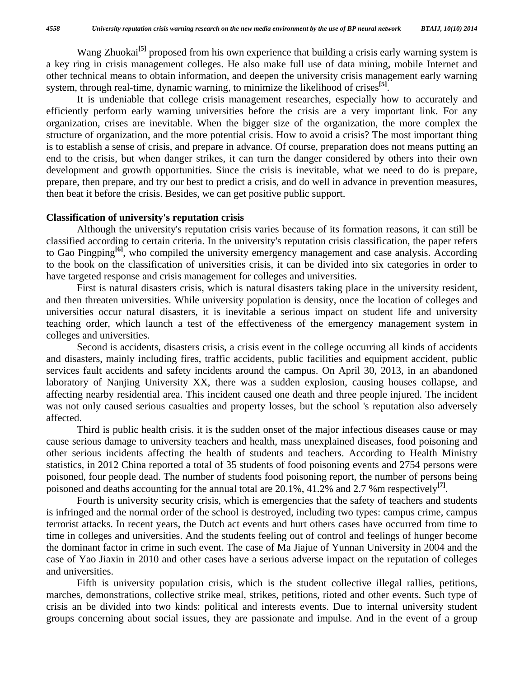Wang Zhuokai<sup>[5]</sup> proposed from his own experience that building a crisis early warning system is a key ring in crisis management colleges. He also make full use of data mining, mobile Internet and other technical means to obtain information, and deepen the university crisis management early warning system, through real-time, dynamic warning, to minimize the likelihood of crises<sup>[5]</sup>.

 It is undeniable that college crisis management researches, especially how to accurately and efficiently perform early warning universities before the crisis are a very important link. For any organization, crises are inevitable. When the bigger size of the organization, the more complex the structure of organization, and the more potential crisis. How to avoid a crisis? The most important thing is to establish a sense of crisis, and prepare in advance. Of course, preparation does not means putting an end to the crisis, but when danger strikes, it can turn the danger considered by others into their own development and growth opportunities. Since the crisis is inevitable, what we need to do is prepare, prepare, then prepare, and try our best to predict a crisis, and do well in advance in prevention measures, then beat it before the crisis. Besides, we can get positive public support.

### **Classification of university's reputation crisis**

 Although the university's reputation crisis varies because of its formation reasons, it can still be classified according to certain criteria. In the university's reputation crisis classification, the paper refers to Gao Pingping**[6]**, who compiled the university emergency management and case analysis. According to the book on the classification of universities crisis, it can be divided into six categories in order to have targeted response and crisis management for colleges and universities.

 First is natural disasters crisis, which is natural disasters taking place in the university resident, and then threaten universities. While university population is density, once the location of colleges and universities occur natural disasters, it is inevitable a serious impact on student life and university teaching order, which launch a test of the effectiveness of the emergency management system in colleges and universities.

 Second is accidents, disasters crisis, a crisis event in the college occurring all kinds of accidents and disasters, mainly including fires, traffic accidents, public facilities and equipment accident, public services fault accidents and safety incidents around the campus. On April 30, 2013, in an abandoned laboratory of Nanjing University XX, there was a sudden explosion, causing houses collapse, and affecting nearby residential area. This incident caused one death and three people injured. The incident was not only caused serious casualties and property losses, but the school 's reputation also adversely affected.

 Third is public health crisis. it is the sudden onset of the major infectious diseases cause or may cause serious damage to university teachers and health, mass unexplained diseases, food poisoning and other serious incidents affecting the health of students and teachers. According to Health Ministry statistics, in 2012 China reported a total of 35 students of food poisoning events and 2754 persons were poisoned, four people dead. The number of students food poisoning report, the number of persons being poisoned and deaths accounting for the annual total are 20.1%, 41.2% and 2.7 %m respectively<sup>[7]</sup>.

 Fourth is university security crisis, which is emergencies that the safety of teachers and students is infringed and the normal order of the school is destroyed, including two types: campus crime, campus terrorist attacks. In recent years, the Dutch act events and hurt others cases have occurred from time to time in colleges and universities. And the students feeling out of control and feelings of hunger become the dominant factor in crime in such event. The case of Ma Jiajue of Yunnan University in 2004 and the case of Yao Jiaxin in 2010 and other cases have a serious adverse impact on the reputation of colleges and universities.

 Fifth is university population crisis, which is the student collective illegal rallies, petitions, marches, demonstrations, collective strike meal, strikes, petitions, rioted and other events. Such type of crisis an be divided into two kinds: political and interests events. Due to internal university student groups concerning about social issues, they are passionate and impulse. And in the event of a group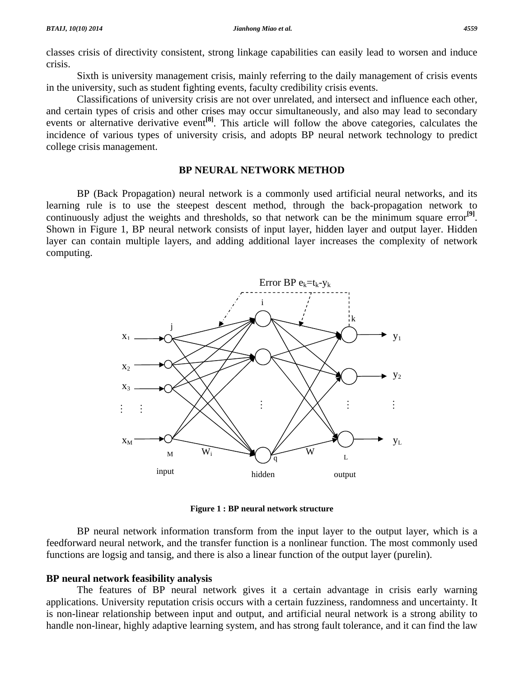classes crisis of directivity consistent, strong linkage capabilities can easily lead to worsen and induce crisis.

 Sixth is university management crisis, mainly referring to the daily management of crisis events in the university, such as student fighting events, faculty credibility crisis events.

 Classifications of university crisis are not over unrelated, and intersect and influence each other, and certain types of crisis and other crises may occur simultaneously, and also may lead to secondary events or alternative derivative event**[8]**. This article will follow the above categories, calculates the incidence of various types of university crisis, and adopts BP neural network technology to predict college crisis management.

#### **BP NEURAL NETWORK METHOD**

 BP (Back Propagation) neural network is a commonly used artificial neural networks, and its learning rule is to use the steepest descent method, through the back-propagation network to continuously adjust the weights and thresholds, so that network can be the minimum square error<sup>[9]</sup>. Shown in Figure 1, BP neural network consists of input layer, hidden layer and output layer. Hidden layer can contain multiple layers, and adding additional layer increases the complexity of network computing.



**Figure 1 : BP neural network structure** 

 BP neural network information transform from the input layer to the output layer, which is a feedforward neural network, and the transfer function is a nonlinear function. The most commonly used functions are logsig and tansig, and there is also a linear function of the output layer (purelin).

### **BP neural network feasibility analysis**

 The features of BP neural network gives it a certain advantage in crisis early warning applications. University reputation crisis occurs with a certain fuzziness, randomness and uncertainty. It is non-linear relationship between input and output, and artificial neural network is a strong ability to handle non-linear, highly adaptive learning system, and has strong fault tolerance, and it can find the law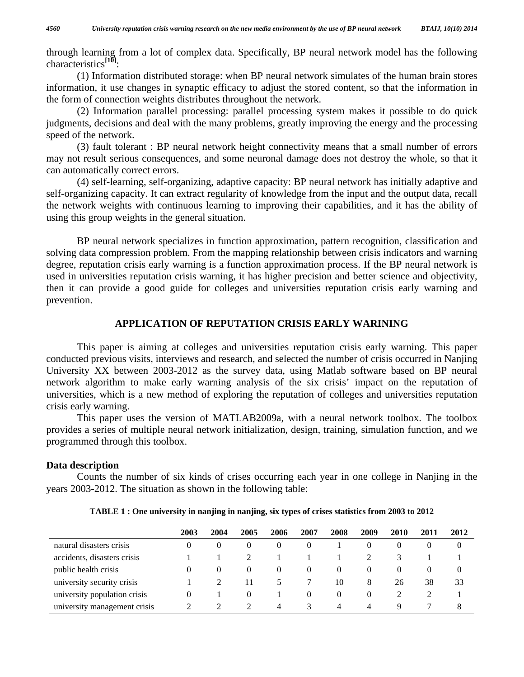through learning from a lot of complex data. Specifically, BP neural network model has the following characteristics**[10]**:

 (1) Information distributed storage: when BP neural network simulates of the human brain stores information, it use changes in synaptic efficacy to adjust the stored content, so that the information in the form of connection weights distributes throughout the network.

 (2) Information parallel processing: parallel processing system makes it possible to do quick judgments, decisions and deal with the many problems, greatly improving the energy and the processing speed of the network.

 (3) fault tolerant : BP neural network height connectivity means that a small number of errors may not result serious consequences, and some neuronal damage does not destroy the whole, so that it can automatically correct errors.

 (4) self-learning, self-organizing, adaptive capacity: BP neural network has initially adaptive and self-organizing capacity. It can extract regularity of knowledge from the input and the output data, recall the network weights with continuous learning to improving their capabilities, and it has the ability of using this group weights in the general situation.

 BP neural network specializes in function approximation, pattern recognition, classification and solving data compression problem. From the mapping relationship between crisis indicators and warning degree, reputation crisis early warning is a function approximation process. If the BP neural network is used in universities reputation crisis warning, it has higher precision and better science and objectivity, then it can provide a good guide for colleges and universities reputation crisis early warning and prevention.

#### **APPLICATION OF REPUTATION CRISIS EARLY WARINING**

 This paper is aiming at colleges and universities reputation crisis early warning. This paper conducted previous visits, interviews and research, and selected the number of crisis occurred in Nanjing University XX between 2003-2012 as the survey data, using Matlab software based on BP neural network algorithm to make early warning analysis of the six crisis' impact on the reputation of universities, which is a new method of exploring the reputation of colleges and universities reputation crisis early warning.

 This paper uses the version of MATLAB2009a, with a neural network toolbox. The toolbox provides a series of multiple neural network initialization, design, training, simulation function, and we programmed through this toolbox.

### **Data description**

 Counts the number of six kinds of crises occurring each year in one college in Nanjing in the years 2003-2012. The situation as shown in the following table:

|                              | 2003     | 2004     | 2005     | 2006          | 2007     | 2008     | 2009     | <b>2010</b> | 2011 | 2012           |
|------------------------------|----------|----------|----------|---------------|----------|----------|----------|-------------|------|----------------|
| natural disasters crisis     | 0        | $\theta$ | $\theta$ | $\theta$      | $\theta$ |          | $\theta$ | $_{0}$      |      | 0              |
| accidents, disasters crisis  |          |          |          |               |          |          |          |             |      |                |
| public health crisis         | $\theta$ | $\theta$ | $\theta$ | $\Omega$      | $\theta$ | $\theta$ | $\theta$ | $\theta$    |      | $\overline{0}$ |
| university security crisis   |          |          | 11       | $\mathcal{D}$ |          | 10       | 8        | 26          | 38   | 33             |
| university population crisis | $^{(1)}$ |          | $\theta$ |               | $\theta$ | $\Omega$ | $\Omega$ |             |      |                |
| university management crisis |          |          |          | 4             | 3        | 4        | 4        |             |      | 8              |

**TABLE 1 : One university in nanjing in nanjing, six types of crises statistics from 2003 to 2012**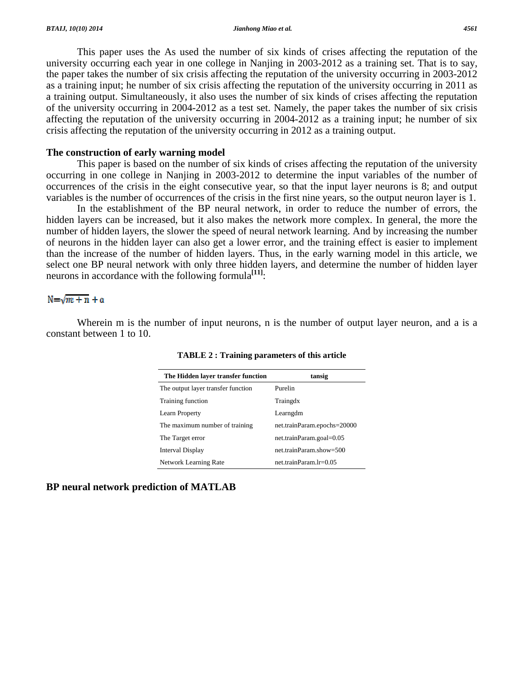university occurring each year in one college in Nanjing in 2003-2012 as a training set. That is to say, the paper takes the number of six crisis affecting the reputation of the university occurring in 2003-2012 as a training input; he number of six crisis affecting the reputation of the university occurring in 2011 as a training output. Simultaneously, it also uses the number of six kinds of crises affecting the reputation of the university occurring in 2004-2012 as a test set. Namely, the paper takes the number of six crisis affecting the reputation of the university occurring in 2004-2012 as a training input; he number of six crisis affecting the reputation of the university occurring in 2012 as a training output. This paper uses the As used the number of six kinds of crises affecting the reputation of the s affecting the reputation<br>
2 as a training set. That i<br>
inversity occurring in 20<br>
e university occurring in 20<br>
e university occurring in 0<br>
of crises affecting the re<br>
training input, he number<br>
ining output.<br>
1<br>
g the

#### **The construction of early warning model**

occurring in one college in Nanjing in 2003-2012 to determine the input variables of the number of occurrences of the crisis in the eight consecutive year, so that the input layer neurons is 8; and output variables is the number of occurrences of the crisis in the first nine years, so the output neuron layer is 1. This paper is based on the number of six kinds of crises affecting the reputation of the university

hidden layers can be increased, but it also makes the network more complex. In general, the more the number of hidden layers, the slower the speed of neural network learning. And by increasing the number of neurons in the hidden layer can also get a lower error, and the training effect is easier to implement than the increase of the number of hidden layers. Thus, in the early warning model in this article, we select one BP neural network with only three hidden layers, and determine the number of hidden layer neurons in accordance with the following formula<sup>[11]</sup>: In the establishment of the BP neural network, in order to reduce the number of errors, the

#### $N = \sqrt{m + n} + \alpha$

constant between 1 to 10. Wherein m is the number of input neurons, n is the number of output layer neuron, and a is a

| The Hidden layer transfer function | tansig                      |
|------------------------------------|-----------------------------|
| The output layer transfer function | Purelin                     |
| Training function                  | Traingdx                    |
| Learn Property                     | Learngdm                    |
| The maximum number of training     | net.trainParam.epochs=20000 |
| The Target error                   | net.trainParam.goal=0.05    |
| Interval Display                   | net.trainParam.show=500     |
| <b>Network Learning Rate</b>       | $net.trainParam.lr=0.05$    |

**TABLE 2: Training parameters of this article** 

**B BP neural n network pre diction of M MATLAB**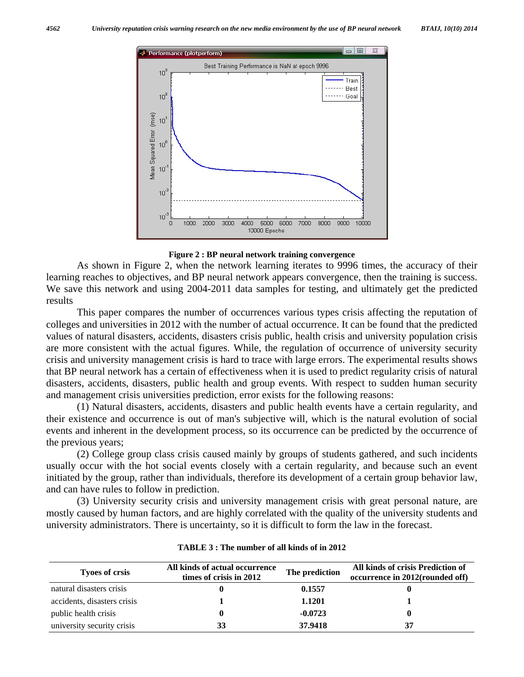

#### **Figure 2 : BP neural network training convergence**

 As shown in Figure 2, when the network learning iterates to 9996 times, the accuracy of their learning reaches to objectives, and BP neural network appears convergence, then the training is success. We save this network and using 2004-2011 data samples for testing, and ultimately get the predicted results

 This paper compares the number of occurrences various types crisis affecting the reputation of colleges and universities in 2012 with the number of actual occurrence. It can be found that the predicted values of natural disasters, accidents, disasters crisis public, health crisis and university population crisis are more consistent with the actual figures. While, the regulation of occurrence of university security crisis and university management crisis is hard to trace with large errors. The experimental results shows that BP neural network has a certain of effectiveness when it is used to predict regularity crisis of natural disasters, accidents, disasters, public health and group events. With respect to sudden human security and management crisis universities prediction, error exists for the following reasons:

 (1) Natural disasters, accidents, disasters and public health events have a certain regularity, and their existence and occurrence is out of man's subjective will, which is the natural evolution of social events and inherent in the development process, so its occurrence can be predicted by the occurrence of the previous years;

 (2) College group class crisis caused mainly by groups of students gathered, and such incidents usually occur with the hot social events closely with a certain regularity, and because such an event initiated by the group, rather than individuals, therefore its development of a certain group behavior law, and can have rules to follow in prediction.

 (3) University security crisis and university management crisis with great personal nature, are mostly caused by human factors, and are highly correlated with the quality of the university students and university administrators. There is uncertainty, so it is difficult to form the law in the forecast.

| <b>Tyoes of crsis</b>       | All kinds of actual occurrence<br>times of crisis in 2012 | The prediction | All kinds of crisis Prediction of<br>occurrence in 2012(rounded off) |
|-----------------------------|-----------------------------------------------------------|----------------|----------------------------------------------------------------------|
| natural disasters crisis    |                                                           | 0.1557         |                                                                      |
| accidents, disasters crisis |                                                           | 1.1201         |                                                                      |
| public health crisis        | 0                                                         | $-0.0723$      |                                                                      |
| university security crisis  | 33                                                        | 37.9418        | 37                                                                   |

#### **TABLE 3 : The number of all kinds of in 2012**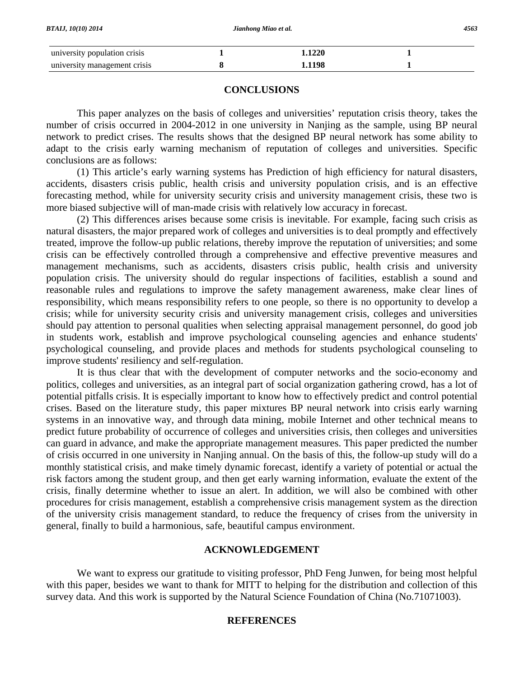| <b>BTAIJ, 10(10) 2014</b>    | Jianhong Miao et al. | 4563 |  |  |
|------------------------------|----------------------|------|--|--|
| university population crisis | 1.1220               |      |  |  |
| university management crisis | .1198                |      |  |  |

#### **CONCLUSIONS**

 This paper analyzes on the basis of colleges and universities' reputation crisis theory, takes the number of crisis occurred in 2004-2012 in one university in Nanjing as the sample, using BP neural network to predict crises. The results shows that the designed BP neural network has some ability to adapt to the crisis early warning mechanism of reputation of colleges and universities. Specific conclusions are as follows:

 (1) This article's early warning systems has Prediction of high efficiency for natural disasters, accidents, disasters crisis public, health crisis and university population crisis, and is an effective forecasting method, while for university security crisis and university management crisis, these two is more biased subjective will of man-made crisis with relatively low accuracy in forecast.

 (2) This differences arises because some crisis is inevitable. For example, facing such crisis as natural disasters, the major prepared work of colleges and universities is to deal promptly and effectively treated, improve the follow-up public relations, thereby improve the reputation of universities; and some crisis can be effectively controlled through a comprehensive and effective preventive measures and management mechanisms, such as accidents, disasters crisis public, health crisis and university population crisis. The university should do regular inspections of facilities, establish a sound and reasonable rules and regulations to improve the safety management awareness, make clear lines of responsibility, which means responsibility refers to one people, so there is no opportunity to develop a crisis; while for university security crisis and university management crisis, colleges and universities should pay attention to personal qualities when selecting appraisal management personnel, do good job in students work, establish and improve psychological counseling agencies and enhance students' psychological counseling, and provide places and methods for students psychological counseling to improve students' resiliency and self-regulation.

 It is thus clear that with the development of computer networks and the socio-economy and politics, colleges and universities, as an integral part of social organization gathering crowd, has a lot of potential pitfalls crisis. It is especially important to know how to effectively predict and control potential crises. Based on the literature study, this paper mixtures BP neural network into crisis early warning systems in an innovative way, and through data mining, mobile Internet and other technical means to predict future probability of occurrence of colleges and universities crisis, then colleges and universities can guard in advance, and make the appropriate management measures. This paper predicted the number of crisis occurred in one university in Nanjing annual. On the basis of this, the follow-up study will do a monthly statistical crisis, and make timely dynamic forecast, identify a variety of potential or actual the risk factors among the student group, and then get early warning information, evaluate the extent of the crisis, finally determine whether to issue an alert. In addition, we will also be combined with other procedures for crisis management, establish a comprehensive crisis management system as the direction of the university crisis management standard, to reduce the frequency of crises from the university in general, finally to build a harmonious, safe, beautiful campus environment.

### **ACKNOWLEDGEMENT**

 We want to express our gratitude to visiting professor, PhD Feng Junwen, for being most helpful with this paper, besides we want to thank for MITT to helping for the distribution and collection of this survey data. And this work is supported by the Natural Science Foundation of China (No.71071003).

### **REFERENCES**